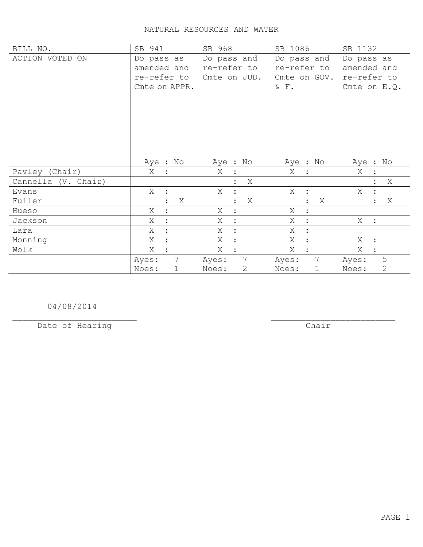## NATURAL RESOURCES AND WATER

| BILL NO.            | SB 941                   | SB 968                    | SB 1086                   | SB 1132                 |
|---------------------|--------------------------|---------------------------|---------------------------|-------------------------|
| ACTION VOTED ON     | Do pass as               | Do pass and               | Do pass and               | Do pass as              |
|                     | amended and              | re-refer to               | re-refer to               | amended and             |
|                     | re-refer to              | Cmte on JUD.              | Cmte on GOV.              | re-refer to             |
|                     | Cmte on APPR.            |                           | $\&\quad$ F .             | Cmte on $E.Q.$          |
|                     |                          |                           |                           |                         |
|                     |                          |                           |                           |                         |
|                     |                          |                           |                           |                         |
|                     |                          |                           |                           |                         |
|                     |                          |                           |                           |                         |
|                     |                          |                           |                           |                         |
|                     | Aye : No                 | Aye : No                  | Aye : No                  | Aye : No                |
|                     |                          |                           |                           |                         |
| Pavley (Chair)      | Χ                        | Χ                         | X<br>$\ddot{\cdot}$       | Χ                       |
| Cannella (V. Chair) |                          | Χ                         |                           | Χ                       |
| Evans               | X<br>$\mathbf{L}$        | X<br>$\ddot{\cdot}$       | Χ<br>$\ddot{\phantom{1}}$ | Χ                       |
| Fuller              | Χ<br>$\ddot{\cdot}$      | X<br>$\ddot{\phantom{a}}$ | Χ<br>$\ddot{\cdot}$       | Χ<br>$\ddot{\cdot}$     |
| Hueso               | Χ<br>$\ddot{\cdot}$      | Χ<br>$\ddot{\cdot}$       | Χ<br>$\ddot{\cdot}$       |                         |
| Jackson             | X<br>$\ddot{ }$          | Χ<br>$\ddot{\cdot}$       | X<br>$\ddot{\cdot}$       | X :                     |
| Lara                | X                        | X<br>$\ddot{\cdot}$       | Χ<br>$\ddot{\cdot}$       |                         |
| Monning             | Χ                        | Χ<br>$\ddot{\cdot}$       | Χ<br>$\ddot{\cdot}$       | Χ<br>$\mathbf{r}$       |
| Wolk                | Χ                        | Χ<br>$\ddot{\phantom{a}}$ | Χ                         | Χ                       |
|                     | $7\overline{ }$<br>Ayes: | $7\phantom{.0}$<br>Ayes:  | $\overline{7}$<br>Ayes:   | 5<br>Ayes:              |
|                     | Noes:<br>$\mathbf 1$     | 2<br>Noes:                | Noes:<br>1                | $\overline{2}$<br>Noes: |

04/08/2014

Date of Hearing

 $\overline{**chair**}$